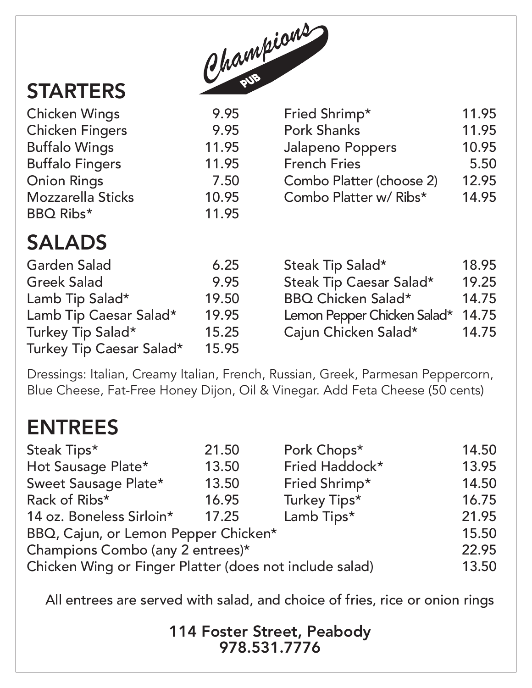

## **STARTERS**

Chicken Wings **Chicken Fingers** 

**Buffalo Wings** 

**Onion Rings** 

BBQ Ribs\*

**Buffalo Fingers** 

Mozzarella Sticks

# SALADS

| <b>Garden Salad</b>      | 6.25  | Steak Tip Salad*            | 18.95 |
|--------------------------|-------|-----------------------------|-------|
| <b>Greek Salad</b>       | 9.95  | Steak Tip Caesar Salad*     | 19.25 |
| Lamb Tip Salad*          | 19.50 | <b>BBQ Chicken Salad*</b>   | 14.75 |
| Lamb Tip Caesar Salad*   | 19.95 | Lemon Pepper Chicken Salad* | 14.75 |
| Turkey Tip Salad*        | 15.25 | Cajun Chicken Salad*        | 14.75 |
| Turkey Tip Caesar Salad* | 15.95 |                             |       |

Dressings: Italian, Creamy Italian, French, Russian, Greek, Parmesan Peppercorn, Blue Cheese, Fat-Free Honey Dijon, Oil & Vinegar. Add Feta Cheese (50 cents)

### ENTREES

| 21.50                                                   | Pork Chops*    | 14.50 |  |  |
|---------------------------------------------------------|----------------|-------|--|--|
| 13.50                                                   | Fried Haddock* | 13.95 |  |  |
| 13.50                                                   | Fried Shrimp*  | 14.50 |  |  |
| 16.95                                                   | Turkey Tips*   | 16.75 |  |  |
| 17.25                                                   | Lamb Tips*     | 21.95 |  |  |
| BBQ, Cajun, or Lemon Pepper Chicken*                    |                |       |  |  |
| Champions Combo (any 2 entrees)*                        |                |       |  |  |
| Chicken Wing or Finger Platter (does not include salad) |                |       |  |  |
|                                                         |                |       |  |  |

All entrees are served with salad, and choice of fries, rice or onion rings

114 Foster Street, Peabody 978.531.7776